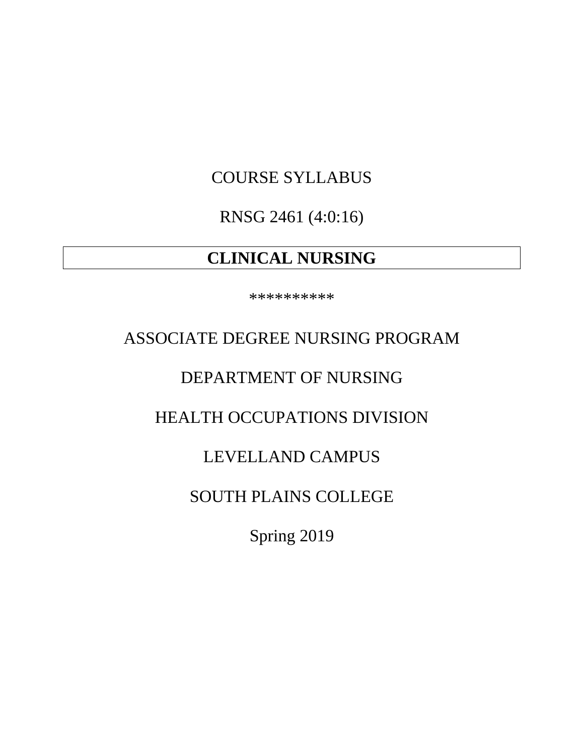# COURSE SYLLABUS

RNSG 2461 (4:0:16)

# **CLINICAL NURSING**

\*\*\*\*\*\*\*\*\*\*

# ASSOCIATE DEGREE NURSING PROGRAM

# DEPARTMENT OF NURSING

# HEALTH OCCUPATIONS DIVISION

# LEVELLAND CAMPUS

# SOUTH PLAINS COLLEGE

Spring 2019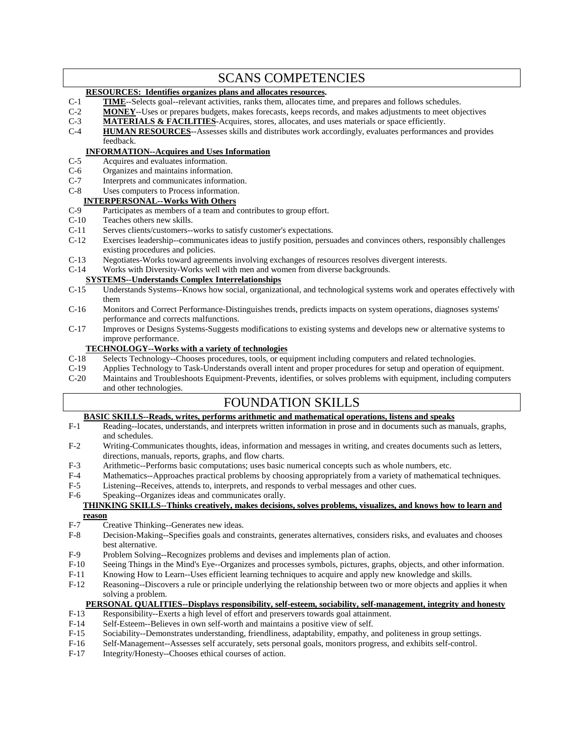| <b>SCANS COMPETENCIES</b>                                             |                                                                                                                      |  |
|-----------------------------------------------------------------------|----------------------------------------------------------------------------------------------------------------------|--|
| <b>RESOURCES:</b> Identifies organizes plans and allocates resources. |                                                                                                                      |  |
| $C-1$                                                                 | <b>TIME</b> -Selects goal--relevant activities, ranks them, allocates time, and prepares and follows schedules.      |  |
| $C-2$                                                                 | <b>MONEY</b> --Uses or prepares budgets, makes forecasts, keeps records, and makes adjustments to meet objectives    |  |
| $C-3$                                                                 | <b>MATERIALS &amp; FACILITIES-Acquires, stores, allocates, and uses materials or space efficiently.</b>              |  |
| $C-4$                                                                 | <b>HUMAN RESOURCES-</b> -Assesses skills and distributes work accordingly, evaluates performances and provides       |  |
|                                                                       | feedback.                                                                                                            |  |
| <b>INFORMATION--Acquires and Uses Information</b>                     |                                                                                                                      |  |
| $C-5$                                                                 | Acquires and evaluates information.                                                                                  |  |
| $C-6$                                                                 | Organizes and maintains information.                                                                                 |  |
| $C-7$                                                                 | Interprets and communicates information.                                                                             |  |
| $C-8$                                                                 | Uses computers to Process information.                                                                               |  |
| <b>INTERPERSONAL--Works With Others</b>                               |                                                                                                                      |  |
| $C-9$                                                                 | Participates as members of a team and contributes to group effort.                                                   |  |
| $C-10$                                                                | Teaches others new skills.                                                                                           |  |
| $C-11$                                                                | Serves clients/customers--works to satisfy customer's expectations.                                                  |  |
| $C-12$                                                                | Exercises leadership--communicates ideas to justify position, persuades and convinces others, responsibly challenges |  |
|                                                                       | existing procedures and policies.                                                                                    |  |
| $C-13$                                                                | Negotiates-Works toward agreements involving exchanges of resources resolves divergent interests.                    |  |
| $C-14$                                                                | Works with Diversity-Works well with men and women from diverse backgrounds.                                         |  |
| <b>SYSTEMS--Understands Complex Interrelationships</b>                |                                                                                                                      |  |
| $C-15$                                                                | Understands Systems--Knows how social, organizational, and technological systems work and operates effectively with  |  |
|                                                                       | them                                                                                                                 |  |
| $C-16$                                                                | Monitors and Correct Performance-Distinguishes trends, predicts impacts on system operations, diagnoses systems'     |  |
|                                                                       | performance and corrects malfunctions.                                                                               |  |
| $C-17$                                                                | Improves or Designs Systems-Suggests modifications to existing systems and develops new or alternative systems to    |  |
|                                                                       | improve performance.                                                                                                 |  |

# **TECHNOLOGY--Works with a variety of technologies**<br>C-18 Selects Technology--Chooses procedures, tools, or equ

- C-18 Selects Technology--Chooses procedures, tools, or equipment including computers and related technologies.<br>C-19 Applies Technology to Task-Understands overall intent and proper procedures for setup and operation of equ
- C-19 Applies Technology to Task-Understands overall intent and proper procedures for setup and operation of equipment.<br>C-20 Maintains and Troubleshoots Equipment-Prevents, identifies, or solves problems with equipment, inc
- Maintains and Troubleshoots Equipment-Prevents, identifies, or solves problems with equipment, including computers and other technologies.

**FOUNDATION SKILLS**<br>**BASIC SKILLS--Reads, writes, performs arithmetic and mathematical operations, listens and speaks**<br>F-1 Reading--locates, understands, and interprets written information in prose and in documents such as

- Reading--locates, understands, and interprets written information in prose and in documents such as manuals, graphs, and schedules.
- F-2 Writing-Communicates thoughts, ideas, information and messages in writing, and creates documents such as letters, directions, manuals, reports, graphs, and flow charts.
- F-3 Arithmetic--Performs basic computations; uses basic numerical concepts such as whole numbers, etc.
- F-4 Mathematics--Approaches practical problems by choosing appropriately from a variety of mathematical techniques.<br>F-5 Listening--Receives, attends to, interprets, and responds to verbal messages and other cues.
- Listening--Receives, attends to, interprets, and responds to verbal messages and other cues.
- F-6 Speaking--Organizes ideas and communicates orally.

#### **THINKING SKILLS--Thinks creatively, makes decisions, solves problems, visualizes, and knows how to learn and reason**

- F-7 Creative Thinking--Generates new ideas.<br>F-8 Decision-Making--Specifies goals and co
- Decision-Making--Specifies goals and constraints, generates alternatives, considers risks, and evaluates and chooses best alternative.
- F-9 Problem Solving--Recognizes problems and devises and implements plan of action.
- F-10 Seeing Things in the Mind's Eye--Organizes and processes symbols, pictures, graphs, objects, and other information.<br>F-11 Knowing How to Learn--Uses efficient learning techniques to acquire and apply new knowledge and
- F-11 Knowing How to Learn--Uses efficient learning techniques to acquire and apply new knowledge and skills.<br>F-12 Reasoning--Discovers a rule or principle underlying the relationship between two or more objects and appli
- Reasoning--Discovers a rule or principle underlying the relationship between two or more objects and applies it when solving a problem.

#### **PERSONAL QUALITIES--Displays responsibility, self-esteem, sociability, self-management, integrity and honesty**

- F-13 Responsibility--Exerts a high level of effort and preservers towards goal attainment.<br>F-14 Self-Esteem--Believes in own self-worth and maintains a positive view of self.
- F-14 Self-Esteem--Believes in own self-worth and maintains a positive view of self.<br>F-15 Sociability--Demonstrates understanding, friendliness, adaptability, empathy, a
- Sociability--Demonstrates understanding, friendliness, adaptability, empathy, and politeness in group settings.
- F-16 Self-Management--Assesses self accurately, sets personal goals, monitors progress, and exhibits self-control.
- F-17 Integrity/Honesty--Chooses ethical courses of action.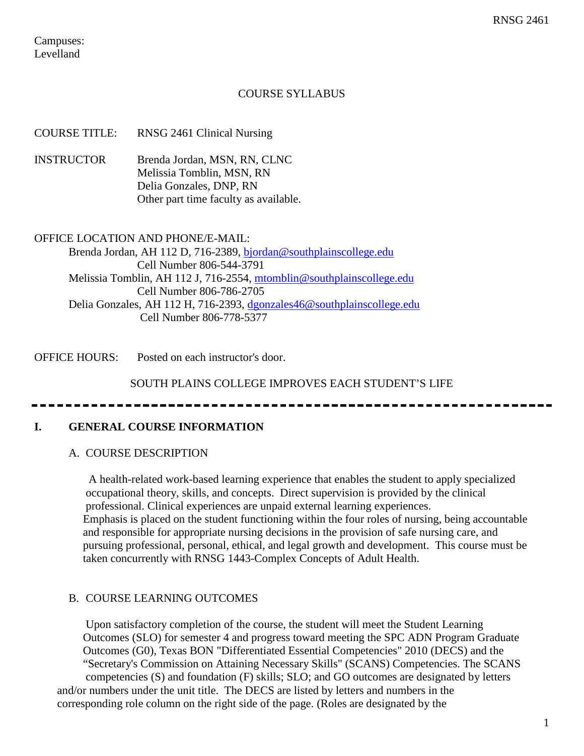Campuses: Levelland

### COURSE SYLLABUS

| <b>COURSE TITLE:</b>                                              | RNSG 2461 Clinical Nursing                                                                                                    |  |
|-------------------------------------------------------------------|-------------------------------------------------------------------------------------------------------------------------------|--|
| <b>INSTRUCTOR</b>                                                 | Brenda Jordan, MSN, RN, CLNC<br>Melissia Tomblin, MSN, RN<br>Delia Gonzales, DNP, RN<br>Other part time faculty as available. |  |
| <b>OFFICE LOCATION AND PHONE/E-MAIL:</b>                          |                                                                                                                               |  |
| Brenda Jordan, AH 112 D, 716-2389, bjordan@southplainscollege.edu |                                                                                                                               |  |
| Cell Number 806-544-3791                                          |                                                                                                                               |  |
|                                                                   | Melissia Tomblin, AH 112 J, 716-2554, mtomblin@southplainscollege.edu                                                         |  |
|                                                                   | Cell Number 806-786-2705                                                                                                      |  |
|                                                                   | Delia Gonzales, AH 112 H, 716-2393, dgonzales46@southplainscollege.edu                                                        |  |

Cell Number 806-778-5377

OFFICE HOURS: Posted on each instructor's door.

SOUTH PLAINS COLLEGE IMPROVES EACH STUDENT'S LIFE

### **I. GENERAL COURSE INFORMATION**

### A. COURSE DESCRIPTION

 A health-related work-based learning experience that enables the student to apply specialized occupational theory, skills, and concepts. Direct supervision is provided by the clinical professional. Clinical experiences are unpaid external learning experiences. Emphasis is placed on the student functioning within the four roles of nursing, being accountable and responsible for appropriate nursing decisions in the provision of safe nursing care, and pursuing professional, personal, ethical, and legal growth and development. This course must be taken concurrently with RNSG 1443-Complex Concepts of Adult Health.

### B. COURSE LEARNING OUTCOMES

 Upon satisfactory completion of the course, the student will meet the Student Learning Outcomes (SLO) for semester 4 and progress toward meeting the SPC ADN Program Graduate Outcomes (G0), Texas BON "Differentiated Essential Competencies" 2010 (DECS) and the "Secretary's Commission on Attaining Necessary Skills" (SCANS) Competencies. The SCANS competencies (S) and foundation (F) skills; SLO; and GO outcomes are designated by letters and/or numbers under the unit title. The DECS are listed by letters and numbers in the corresponding role column on the right side of the page. (Roles are designated by the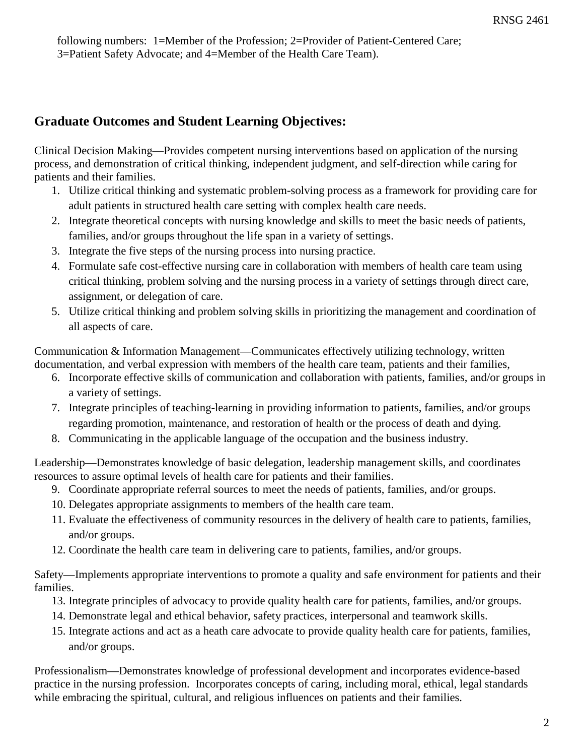following numbers: 1=Member of the Profession; 2=Provider of Patient-Centered Care; 3=Patient Safety Advocate; and 4=Member of the Health Care Team).

# **Graduate Outcomes and Student Learning Objectives:**

Clinical Decision Making—Provides competent nursing interventions based on application of the nursing process, and demonstration of critical thinking, independent judgment, and self-direction while caring for patients and their families.

- 1. Utilize critical thinking and systematic problem-solving process as a framework for providing care for adult patients in structured health care setting with complex health care needs.
- 2. Integrate theoretical concepts with nursing knowledge and skills to meet the basic needs of patients, families, and/or groups throughout the life span in a variety of settings.
- 3. Integrate the five steps of the nursing process into nursing practice.
- 4. Formulate safe cost-effective nursing care in collaboration with members of health care team using critical thinking, problem solving and the nursing process in a variety of settings through direct care, assignment, or delegation of care.
- 5. Utilize critical thinking and problem solving skills in prioritizing the management and coordination of all aspects of care.

Communication & Information Management—Communicates effectively utilizing technology, written documentation, and verbal expression with members of the health care team, patients and their families,

- 6. Incorporate effective skills of communication and collaboration with patients, families, and/or groups in a variety of settings.
- 7. Integrate principles of teaching-learning in providing information to patients, families, and/or groups regarding promotion, maintenance, and restoration of health or the process of death and dying.
- 8. Communicating in the applicable language of the occupation and the business industry.

Leadership—Demonstrates knowledge of basic delegation, leadership management skills, and coordinates resources to assure optimal levels of health care for patients and their families.

- 9. Coordinate appropriate referral sources to meet the needs of patients, families, and/or groups.
- 10. Delegates appropriate assignments to members of the health care team.
- 11. Evaluate the effectiveness of community resources in the delivery of health care to patients, families, and/or groups.
- 12. Coordinate the health care team in delivering care to patients, families, and/or groups.

Safety—Implements appropriate interventions to promote a quality and safe environment for patients and their families.

- 13. Integrate principles of advocacy to provide quality health care for patients, families, and/or groups.
- 14. Demonstrate legal and ethical behavior, safety practices, interpersonal and teamwork skills.
- 15. Integrate actions and act as a heath care advocate to provide quality health care for patients, families, and/or groups.

Professionalism—Demonstrates knowledge of professional development and incorporates evidence-based practice in the nursing profession. Incorporates concepts of caring, including moral, ethical, legal standards while embracing the spiritual, cultural, and religious influences on patients and their families.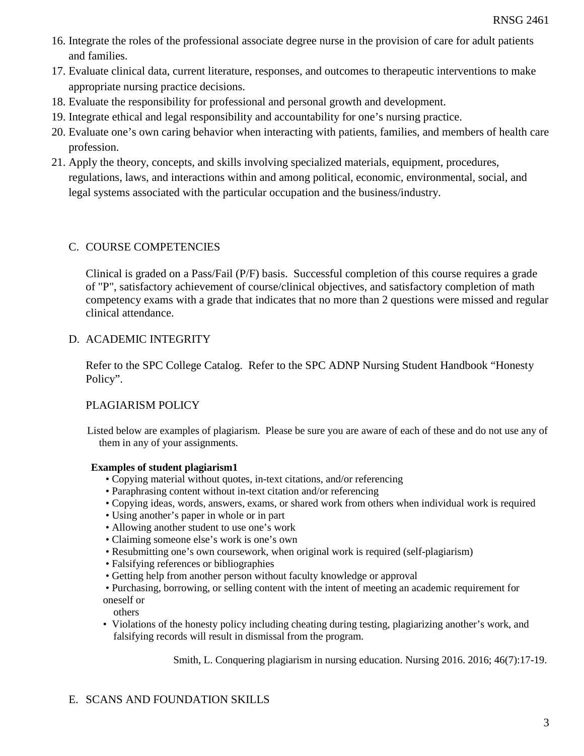- 16. Integrate the roles of the professional associate degree nurse in the provision of care for adult patients and families.
- 17. Evaluate clinical data, current literature, responses, and outcomes to therapeutic interventions to make appropriate nursing practice decisions.
- 18. Evaluate the responsibility for professional and personal growth and development.
- 19. Integrate ethical and legal responsibility and accountability for one's nursing practice.
- 20. Evaluate one's own caring behavior when interacting with patients, families, and members of health care profession.
- 21. Apply the theory, concepts, and skills involving specialized materials, equipment, procedures, regulations, laws, and interactions within and among political, economic, environmental, social, and legal systems associated with the particular occupation and the business/industry.

# C. COURSE COMPETENCIES

Clinical is graded on a Pass/Fail (P/F) basis. Successful completion of this course requires a grade of "P", satisfactory achievement of course/clinical objectives, and satisfactory completion of math competency exams with a grade that indicates that no more than 2 questions were missed and regular clinical attendance.

# D. ACADEMIC INTEGRITY

Refer to the SPC College Catalog. Refer to the SPC ADNP Nursing Student Handbook "Honesty Policy".

# PLAGIARISM POLICY

Listed below are examples of plagiarism. Please be sure you are aware of each of these and do not use any of them in any of your assignments.

### **Examples of student plagiarism1**

- Copying material without quotes, in-text citations, and/or referencing
- Paraphrasing content without in-text citation and/or referencing
- Copying ideas, words, answers, exams, or shared work from others when individual work is required
- Using another's paper in whole or in part
- Allowing another student to use one's work
- Claiming someone else's work is one's own
- Resubmitting one's own coursework, when original work is required (self-plagiarism)
- Falsifying references or bibliographies
- Getting help from another person without faculty knowledge or approval

• Purchasing, borrowing, or selling content with the intent of meeting an academic requirement for oneself or

others

• Violations of the honesty policy including cheating during testing, plagiarizing another's work, and falsifying records will result in dismissal from the program.

Smith, L. Conquering plagiarism in nursing education. Nursing 2016. 2016; 46(7):17-19.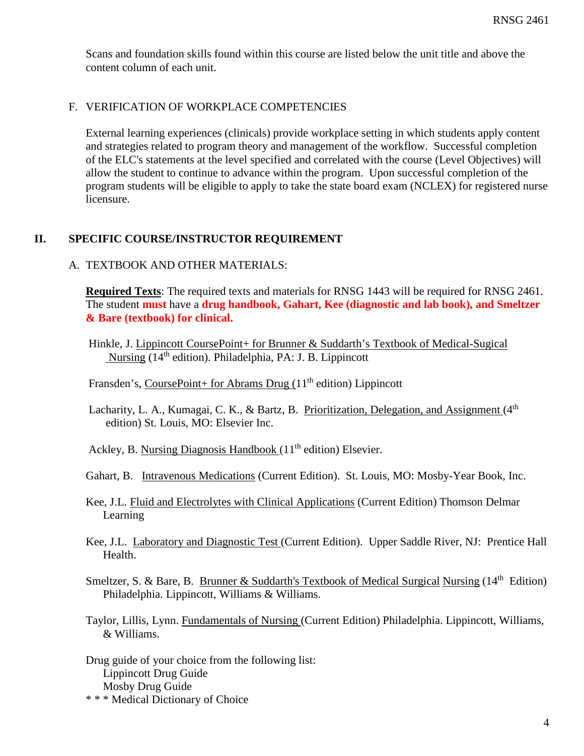Scans and foundation skills found within this course are listed below the unit title and above the content column of each unit.

### F. VERIFICATION OF WORKPLACE COMPETENCIES

External learning experiences (clinicals) provide workplace setting in which students apply content and strategies related to program theory and management of the workflow. Successful completion of the ELC's statements at the level specified and correlated with the course (Level Objectives) will allow the student to continue to advance within the program. Upon successful completion of the program students will be eligible to apply to take the state board exam (NCLEX) for registered nurse licensure.

### **II. SPECIFIC COURSE/INSTRUCTOR REQUIREMENT**

#### A. TEXTROOK AND OTHER MATERIALS:

**Required Texts**: The required texts and materials for RNSG 1443 will be required for RNSG 2461. The student **must** have a **drug handbook, Gahart, Kee (diagnostic and lab book), and Smeltzer & Bare (textbook) for clinical.** 

Fransden's, CoursePoint+ for Abrams Drug  $(11<sup>th</sup>$  edition) Lippincott

Lacharity, L. A., Kumagai, C. K., & Bartz, B. Prioritization, Delegation, and Assignment  $(4<sup>th</sup>$ edition) St. Louis, MO: Elsevier Inc.

Ackley, B. Nursing Diagnosis Handbook  $(11<sup>th</sup>$  edition) Elsevier.

- Gahart, B. Intravenous Medications (Current Edition). St. Louis, MO: Mosby-Year Book, Inc.
- Kee, J.L. Fluid and Electrolytes with Clinical Applications (Current Edition) Thomson Delmar Learning
- Kee, J.L. Laboratory and Diagnostic Test (Current Edition). Upper Saddle River, NJ: Prentice Hall Health.
- Smeltzer, S. & Bare, B. Brunner & Suddarth's Textbook of Medical Surgical Nursing  $(14<sup>th</sup>$  Edition) Philadelphia. Lippincott, Williams & Williams.

Taylor, Lillis, Lynn. Fundamentals of Nursing (Current Edition) Philadelphia. Lippincott, Williams, & Williams.

Drug guide of your choice from the following list: Lippincott Drug Guide Mosby Drug Guide

\* \* \* Medical Dictionary of Choice

Hinkle, J. Lippincott CoursePoint+ for Brunner & Suddarth's Textbook of Medical-Sugical Nursing (14<sup>th</sup> edition). Philadelphia, PA: J. B. Lippincott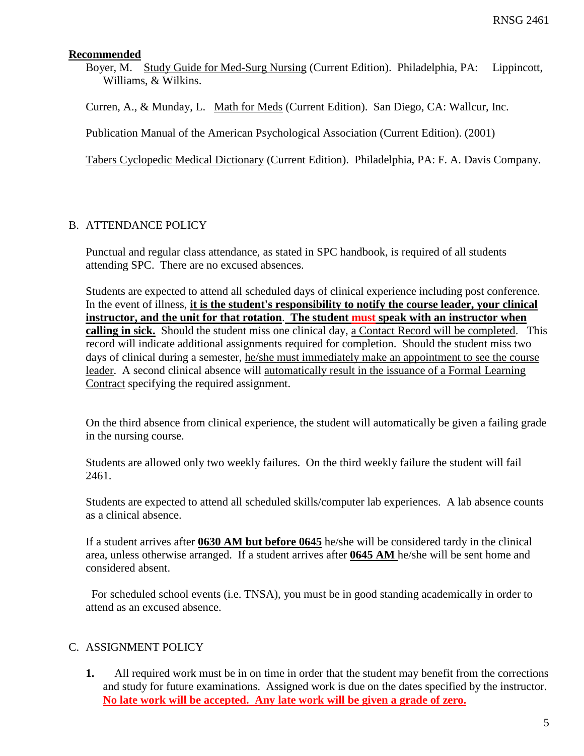### **Recommended**

Boyer, M. Study Guide for Med-Surg Nursing (Current Edition). Philadelphia, PA: Lippincott, Williams, & Wilkins.

Curren, A., & Munday, L. Math for Meds (Current Edition). San Diego, CA: Wallcur, Inc.

Publication Manual of the American Psychological Association (Current Edition). (2001)

Tabers Cyclopedic Medical Dictionary (Current Edition). Philadelphia, PA: F. A. Davis Company.

# B. ATTENDANCE POLICY

Punctual and regular class attendance, as stated in SPC handbook, is required of all students attending SPC. There are no excused absences.

Students are expected to attend all scheduled days of clinical experience including post conference. In the event of illness, **it is the student's responsibility to notify the course leader, your clinical instructor, and the unit for that rotation**. **The student must speak with an instructor when calling in sick.** Should the student miss one clinical day, a Contact Record will be completed. This record will indicate additional assignments required for completion. Should the student miss two days of clinical during a semester, he/she must immediately make an appointment to see the course leader. A second clinical absence will automatically result in the issuance of a Formal Learning Contract specifying the required assignment.

On the third absence from clinical experience, the student will automatically be given a failing grade in the nursing course.

Students are allowed only two weekly failures. On the third weekly failure the student will fail 2461.

Students are expected to attend all scheduled skills/computer lab experiences. A lab absence counts as a clinical absence.

If a student arrives after **0630 AM but before 0645** he/she will be considered tardy in the clinical area, unless otherwise arranged. If a student arrives after **0645 AM** he/she will be sent home and considered absent.

 For scheduled school events (i.e. TNSA), you must be in good standing academically in order to attend as an excused absence.

# C. ASSIGNMENT POLICY

**1.** All required work must be in on time in order that the student may benefit from the corrections and study for future examinations. Assigned work is due on the dates specified by the instructor. **No late work will be accepted. Any late work will be given a grade of zero.**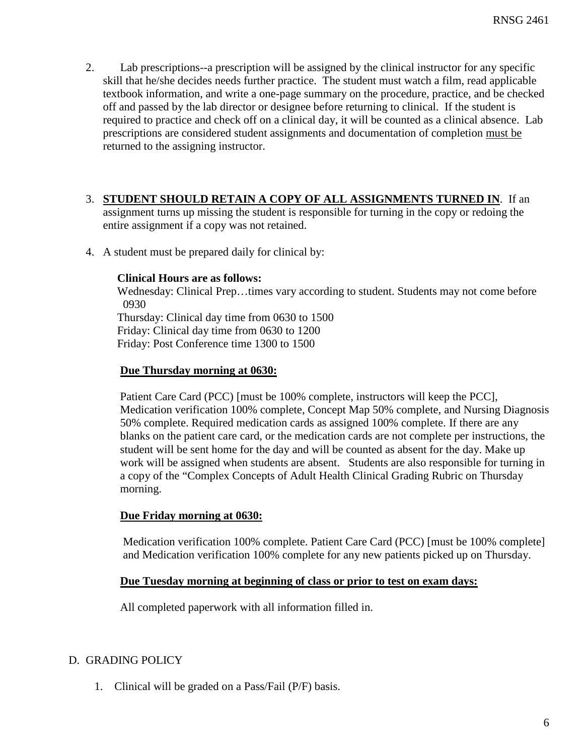2. Lab prescriptions--a prescription will be assigned by the clinical instructor for any specific skill that he/she decides needs further practice. The student must watch a film, read applicable textbook information, and write a one-page summary on the procedure, practice, and be checked off and passed by the lab director or designee before returning to clinical. If the student is required to practice and check off on a clinical day, it will be counted as a clinical absence. Lab prescriptions are considered student assignments and documentation of completion must be returned to the assigning instructor.

# 3. **STUDENT SHOULD RETAIN A COPY OF ALL ASSIGNMENTS TURNED IN**. If an

assignment turns up missing the student is responsible for turning in the copy or redoing the entire assignment if a copy was not retained.

4. A student must be prepared daily for clinical by:

### **Clinical Hours are as follows:**

 Wednesday: Clinical Prep…times vary according to student. Students may not come before 0930

 Thursday: Clinical day time from 0630 to 1500 Friday: Clinical day time from 0630 to 1200 Friday: Post Conference time 1300 to 1500

# **Due Thursday morning at 0630:**

Patient Care Card (PCC) [must be 100% complete, instructors will keep the PCC], Medication verification 100% complete, Concept Map 50% complete, and Nursing Diagnosis 50% complete. Required medication cards as assigned 100% complete. If there are any blanks on the patient care card, or the medication cards are not complete per instructions, the student will be sent home for the day and will be counted as absent for the day. Make up work will be assigned when students are absent. Students are also responsible for turning in a copy of the "Complex Concepts of Adult Health Clinical Grading Rubric on Thursday morning.

# **Due Friday morning at 0630:**

 Medication verification 100% complete. Patient Care Card (PCC) [must be 100% complete] and Medication verification 100% complete for any new patients picked up on Thursday.

# **Due Tuesday morning at beginning of class or prior to test on exam days:**

All completed paperwork with all information filled in.

# D. GRADING POLICY

1. Clinical will be graded on a Pass/Fail (P/F) basis.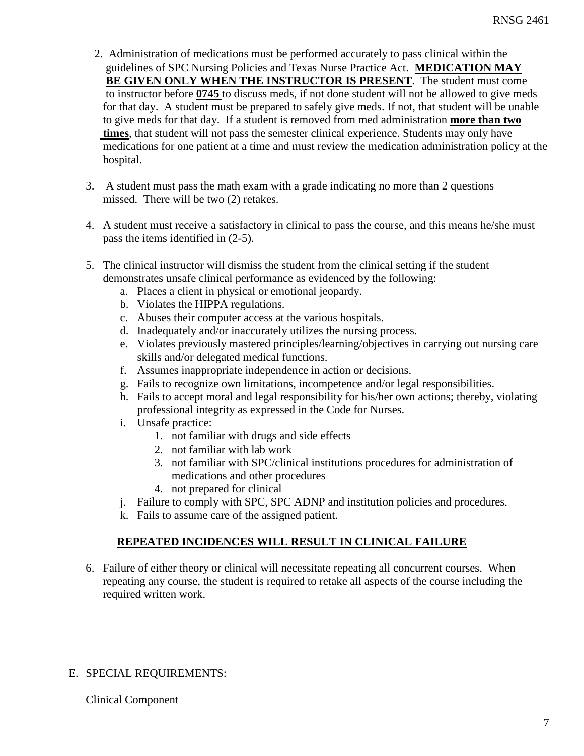- 2. Administration of medications must be performed accurately to pass clinical within the guidelines of SPC Nursing Policies and Texas Nurse Practice Act. **MEDICATION MAY BE GIVEN ONLY WHEN THE INSTRUCTOR IS PRESENT**. The student must come to instructor before **0745** to discuss meds, if not done student will not be allowed to give meds for that day. A student must be prepared to safely give meds. If not, that student will be unable to give meds for that day. If a student is removed from med administration **more than two times**, that student will not pass the semester clinical experience. Students may only have medications for one patient at a time and must review the medication administration policy at the hospital.
- 3. A student must pass the math exam with a grade indicating no more than 2 questions missed. There will be two (2) retakes.
- 4. A student must receive a satisfactory in clinical to pass the course, and this means he/she must pass the items identified in (2-5).
- 5. The clinical instructor will dismiss the student from the clinical setting if the student demonstrates unsafe clinical performance as evidenced by the following:
	- a. Places a client in physical or emotional jeopardy.
	- b. Violates the HIPPA regulations.
	- c. Abuses their computer access at the various hospitals.
	- d. Inadequately and/or inaccurately utilizes the nursing process.
	- e. Violates previously mastered principles/learning/objectives in carrying out nursing care skills and/or delegated medical functions.
	- f. Assumes inappropriate independence in action or decisions.
	- g. Fails to recognize own limitations, incompetence and/or legal responsibilities.
	- h. Fails to accept moral and legal responsibility for his/her own actions; thereby, violating professional integrity as expressed in the Code for Nurses.
	- i. Unsafe practice:
		- 1. not familiar with drugs and side effects
		- 2. not familiar with lab work
		- 3. not familiar with SPC/clinical institutions procedures for administration of medications and other procedures
		- 4. not prepared for clinical
	- j. Failure to comply with SPC, SPC ADNP and institution policies and procedures.
	- k. Fails to assume care of the assigned patient.

# **REPEATED INCIDENCES WILL RESULT IN CLINICAL FAILURE**

6. Failure of either theory or clinical will necessitate repeating all concurrent courses. When repeating any course, the student is required to retake all aspects of the course including the required written work.

# E. SPECIAL REQUIREMENTS:

# Clinical Component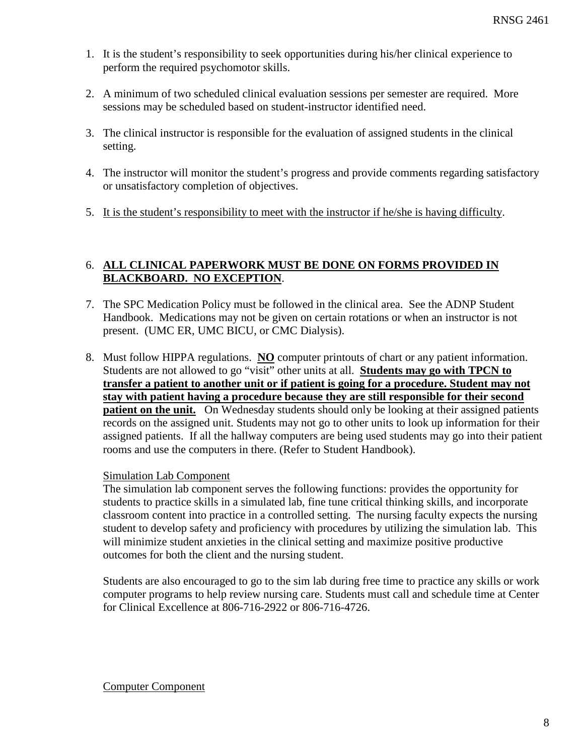- 1. It is the student's responsibility to seek opportunities during his/her clinical experience to perform the required psychomotor skills.
- 2. A minimum of two scheduled clinical evaluation sessions per semester are required. More sessions may be scheduled based on student-instructor identified need.
- 3. The clinical instructor is responsible for the evaluation of assigned students in the clinical setting.
- 4. The instructor will monitor the student's progress and provide comments regarding satisfactory or unsatisfactory completion of objectives.
- 5. It is the student's responsibility to meet with the instructor if he/she is having difficulty.

### 6. **ALL CLINICAL PAPERWORK MUST BE DONE ON FORMS PROVIDED IN BLACKBOARD. NO EXCEPTION**.

- 7. The SPC Medication Policy must be followed in the clinical area. See the ADNP Student Handbook. Medications may not be given on certain rotations or when an instructor is not present. (UMC ER, UMC BICU, or CMC Dialysis).
- 8. Must follow HIPPA regulations. **NO** computer printouts of chart or any patient information. Students are not allowed to go "visit" other units at all. **Students may go with TPCN to transfer a patient to another unit or if patient is going for a procedure. Student may not stay with patient having a procedure because they are still responsible for their second patient on the unit.** On Wednesday students should only be looking at their assigned patients records on the assigned unit. Students may not go to other units to look up information for their assigned patients. If all the hallway computers are being used students may go into their patient rooms and use the computers in there. (Refer to Student Handbook).

### Simulation Lab Component

The simulation lab component serves the following functions: provides the opportunity for students to practice skills in a simulated lab, fine tune critical thinking skills, and incorporate classroom content into practice in a controlled setting. The nursing faculty expects the nursing student to develop safety and proficiency with procedures by utilizing the simulation lab. This will minimize student anxieties in the clinical setting and maximize positive productive outcomes for both the client and the nursing student.

Students are also encouraged to go to the sim lab during free time to practice any skills or work computer programs to help review nursing care. Students must call and schedule time at Center for Clinical Excellence at 806-716-2922 or 806-716-4726.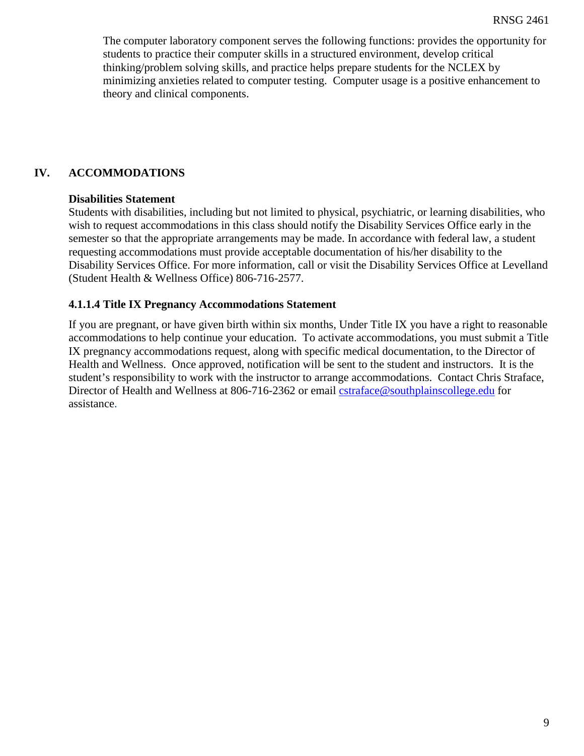The computer laboratory component serves the following functions: provides the opportunity for students to practice their computer skills in a structured environment, develop critical thinking/problem solving skills, and practice helps prepare students for the NCLEX by minimizing anxieties related to computer testing. Computer usage is a positive enhancement to theory and clinical components.

# **IV. ACCOMMODATIONS**

### **Disabilities Statement**

Students with disabilities, including but not limited to physical, psychiatric, or learning disabilities, who wish to request accommodations in this class should notify the Disability Services Office early in the semester so that the appropriate arrangements may be made. In accordance with federal law, a student requesting accommodations must provide acceptable documentation of his/her disability to the Disability Services Office. For more information, call or visit the Disability Services Office at Levelland (Student Health & Wellness Office) 806-716-2577.

### **4.1.1.4 Title IX Pregnancy Accommodations Statement**

If you are pregnant, or have given birth within six months, Under Title IX you have a right to reasonable accommodations to help continue your education. To activate accommodations, you must submit a Title IX pregnancy accommodations request, along with specific medical documentation, to the Director of Health and Wellness. Once approved, notification will be sent to the student and instructors. It is the student's responsibility to work with the instructor to arrange accommodations. Contact Chris Straface, Director of Health and Wellness at 806-716-2362 or email [cstraface@southplainscollege.edu](mailto:cstraface@southplainscollege.edu) for assistance.